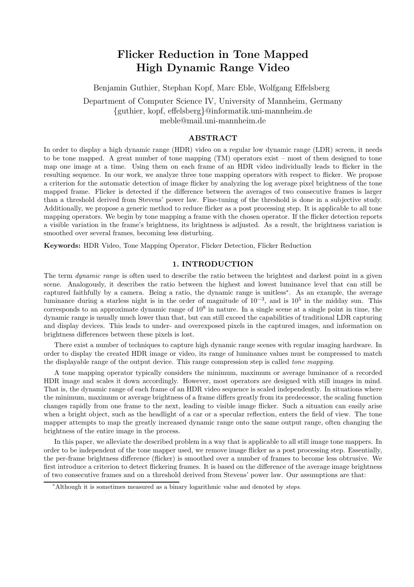# **Flicker Reduction in Tone Mapped High Dynamic Range Video**

Benjamin Guthier, Stephan Kopf, Marc Eble, Wolfgang Effelsberg

Department of Computer Science IV, University of Mannheim, Germany {guthier, kopf, effelsberg}@informatik.uni-mannheim.de meble@mail.uni-mannheim.de

## **ABSTRACT**

In order to display a high dynamic range (HDR) video on a regular low dynamic range (LDR) screen, it needs to be tone mapped. A great number of tone mapping (TM) operators exist – most of them designed to tone map one image at a time. Using them on each frame of an HDR video individually leads to flicker in the resulting sequence. In our work, we analyze three tone mapping operators with respect to flicker. We propose a criterion for the automatic detection of image flicker by analyzing the log average pixel brightness of the tone mapped frame. Flicker is detected if the difference between the averages of two consecutive frames is larger than a threshold derived from Stevens' power law. Fine-tuning of the threshold is done in a subjective study. Additionally, we propose a generic method to reduce flicker as a post processing step. It is applicable to all tone mapping operators. We begin by tone mapping a frame with the chosen operator. If the flicker detection reports a visible variation in the frame's brightness, its brightness is adjusted. As a result, the brightness variation is smoothed over several frames, becoming less disturbing.

**Keywords:** HDR Video, Tone Mapping Operator, Flicker Detection, Flicker Reduction

# **1. INTRODUCTION**

The term *dynamic range* is often used to describe the ratio between the brightest and darkest point in a given scene. Analogously, it describes the ratio between the highest and lowest luminance level that can still be captured faithfully by a camera. Being a ratio, the dynamic range is unitless∗. As an example, the average luminance during a starless night is in the order of magnitude of  $10^{-3}$ , and is  $10^5$  in the midday sun. This corresponds to an approximate dynamic range of  $10<sup>8</sup>$  in nature. In a single scene at a single point in time, the dynamic range is usually much lower than that, but can still exceed the capabilities of traditional LDR capturing and display devices. This leads to under- and overexposed pixels in the captured images, and information on brightness differences between these pixels is lost.

There exist a number of techniques to capture high dynamic range scenes with regular imaging hardware. In order to display the created HDR image or video, its range of luminance values must be compressed to match the displayable range of the output device. This range compression step is called *tone mapping*.

A tone mapping operator typically considers the minimum, maximum or average luminance of a recorded HDR image and scales it down accordingly. However, most operators are designed with still images in mind. That is, the dynamic range of each frame of an HDR video sequence is scaled independently. In situations where the minimum, maximum or average brightness of a frame differs greatly from its predecessor, the scaling function changes rapidly from one frame to the next, leading to visible image flicker. Such a situation can easily arise when a bright object, such as the headlight of a car or a specular reflection, enters the field of view. The tone mapper attempts to map the greatly increased dynamic range onto the same output range, often changing the brightness of the entire image in the process.

In this paper, we alleviate the described problem in a way that is applicable to all still image tone mappers. In order to be independent of the tone mapper used, we remove image flicker as a post processing step. Essentially, the per-frame brightness difference (flicker) is smoothed over a number of frames to become less obtrusive. We first introduce a criterion to detect flickering frames. It is based on the difference of the average image brightness of two consecutive frames and on a threshold derived from Stevens' power law. Our assumptions are that:

<sup>∗</sup>Although it is sometimes measured as a binary logarithmic value and denoted by *stops*.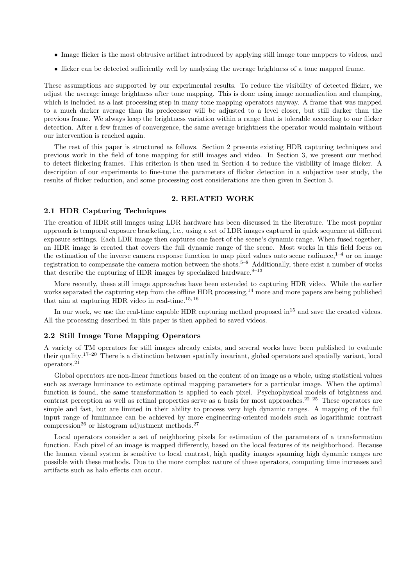- Image flicker is the most obtrusive artifact introduced by applying still image tone mappers to videos, and
- flicker can be detected sufficiently well by analyzing the average brightness of a tone mapped frame.

These assumptions are supported by our experimental results. To reduce the visibility of detected flicker, we adjust the average image brightness after tone mapping. This is done using image normalization and clamping, which is included as a last processing step in many tone mapping operators anyway. A frame that was mapped to a much darker average than its predecessor will be adjusted to a level closer, but still darker than the previous frame. We always keep the brightness variation within a range that is tolerable according to our flicker detection. After a few frames of convergence, the same average brightness the operator would maintain without our intervention is reached again.

The rest of this paper is structured as follows. Section 2 presents existing HDR capturing techniques and previous work in the field of tone mapping for still images and video. In Section 3, we present our method to detect flickering frames. This criterion is then used in Section 4 to reduce the visibility of image flicker. A description of our experiments to fine-tune the parameters of flicker detection in a subjective user study, the results of flicker reduction, and some processing cost considerations are then given in Section 5.

#### **2. RELATED WORK**

### **2.1 HDR Capturing Techniques**

The creation of HDR still images using LDR hardware has been discussed in the literature. The most popular approach is temporal exposure bracketing, i.e., using a set of LDR images captured in quick sequence at different exposure settings. Each LDR image then captures one facet of the scene's dynamic range. When fused together, an HDR image is created that covers the full dynamic range of the scene. Most works in this field focus on the estimation of the inverse camera response function to map pixel values onto scene radiance,  $1^{-4}$  or on image registration to compensate the camera motion between the shots.5–8 Additionally, there exist a number of works that describe the capturing of HDR images by specialized hardware.<sup>9–13</sup>

More recently, these still image approaches have been extended to capturing HDR video. While the earlier works separated the capturing step from the offline HDR processing,<sup>14</sup> more and more papers are being published that aim at capturing HDR video in real-time.<sup>15, 16</sup>

In our work, we use the real-time capable HDR capturing method proposed  $in^{15}$  and save the created videos. All the processing described in this paper is then applied to saved videos.

#### **2.2 Still Image Tone Mapping Operators**

A variety of TM operators for still images already exists, and several works have been published to evaluate their quality.17–20 There is a distinction between spatially invariant, global operators and spatially variant, local operators.<sup>21</sup>

Global operators are non-linear functions based on the content of an image as a whole, using statistical values such as average luminance to estimate optimal mapping parameters for a particular image. When the optimal function is found, the same transformation is applied to each pixel. Psychophysical models of brightness and contrast perception as well as retinal properties serve as a basis for most approaches.<sup>22–25</sup> These operators are simple and fast, but are limited in their ability to process very high dynamic ranges. A mapping of the full input range of luminance can be achieved by more engineering-oriented models such as logarithmic contrast compression<sup>26</sup> or histogram adjustment methods.<sup>27</sup>

Local operators consider a set of neighboring pixels for estimation of the parameters of a transformation function. Each pixel of an image is mapped differently, based on the local features of its neighborhood. Because the human visual system is sensitive to local contrast, high quality images spanning high dynamic ranges are possible with these methods. Due to the more complex nature of these operators, computing time increases and artifacts such as halo effects can occur.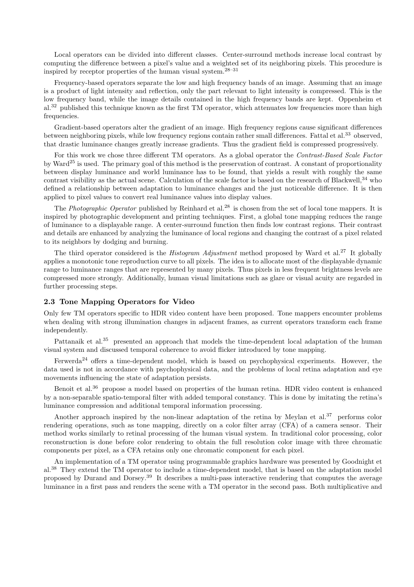Local operators can be divided into different classes. Center-surround methods increase local contrast by computing the difference between a pixel's value and a weighted set of its neighboring pixels. This procedure is inspired by receptor properties of the human visual system.28–31

Frequency-based operators separate the low and high frequency bands of an image. Assuming that an image is a product of light intensity and reflection, only the part relevant to light intensity is compressed. This is the low frequency band, while the image details contained in the high frequency bands are kept. Oppenheim et al.<sup>32</sup> published this technique known as the first TM operator, which attenuates low frequencies more than high frequencies.

Gradient-based operators alter the gradient of an image. High frequency regions cause significant differences between neighboring pixels, while low frequency regions contain rather small differences. Fattal et al.<sup>33</sup> observed, that drastic luminance changes greatly increase gradients. Thus the gradient field is compressed progressively.

For this work we chose three different TM operators. As a global operator the *Contrast-Based Scale Factor* by Ward<sup>25</sup> is used. The primary goal of this method is the preservation of contrast. A constant of proportionality between display luminance and world luminance has to be found, that yields a result with roughly the same contrast visibility as the actual scene. Calculation of the scale factor is based on the research of Blackwell, $34$  who defined a relationship between adaptation to luminance changes and the just noticeable difference. It is then applied to pixel values to convert real luminance values into display values.

The *Photographic Operator* published by Reinhard et al.<sup>28</sup> is chosen from the set of local tone mappers. It is inspired by photographic development and printing techniques. First, a global tone mapping reduces the range of luminance to a displayable range. A center-surround function then finds low contrast regions. Their contrast and details are enhanced by analyzing the luminance of local regions and changing the contrast of a pixel related to its neighbors by dodging and burning.

The third operator considered is the *Histogram Adjustment* method proposed by Ward et al.<sup>27</sup> It globally applies a monotonic tone reproduction curve to all pixels. The idea is to allocate most of the displayable dynamic range to luminance ranges that are represented by many pixels. Thus pixels in less frequent brightness levels are compressed more strongly. Additionally, human visual limitations such as glare or visual acuity are regarded in further processing steps.

# **2.3 Tone Mapping Operators for Video**

Only few TM operators specific to HDR video content have been proposed. Tone mappers encounter problems when dealing with strong illumination changes in adjacent frames, as current operators transform each frame independently.

Pattanaik et al.<sup>35</sup> presented an approach that models the time-dependent local adaptation of the human visual system and discussed temporal coherence to avoid flicker introduced by tone mapping.

Ferwerda<sup>24</sup> offers a time-dependent model, which is based on psychophysical experiments. However, the data used is not in accordance with psychophysical data, and the problems of local retina adaptation and eye movements influencing the state of adaptation persists.

Benoit et al.<sup>36</sup> propose a model based on properties of the human retina. HDR video content is enhanced by a non-separable spatio-temporal filter with added temporal constancy. This is done by imitating the retina's luminance compression and additional temporal information processing.

Another approach inspired by the non-linear adaptation of the retina by Meylan et al.<sup>37</sup> performs color rendering operations, such as tone mapping, directly on a color filter array (CFA) of a camera sensor. Their method works similarly to retinal processing of the human visual system. In traditional color processing, color reconstruction is done before color rendering to obtain the full resolution color image with three chromatic components per pixel, as a CFA retains only one chromatic component for each pixel.

An implementation of a TM operator using programmable graphics hardware was presented by Goodnight et al.<sup>38</sup> They extend the TM operator to include a time-dependent model, that is based on the adaptation model proposed by Durand and Dorsey.<sup>39</sup> It describes a multi-pass interactive rendering that computes the average luminance in a first pass and renders the scene with a TM operator in the second pass. Both multiplicative and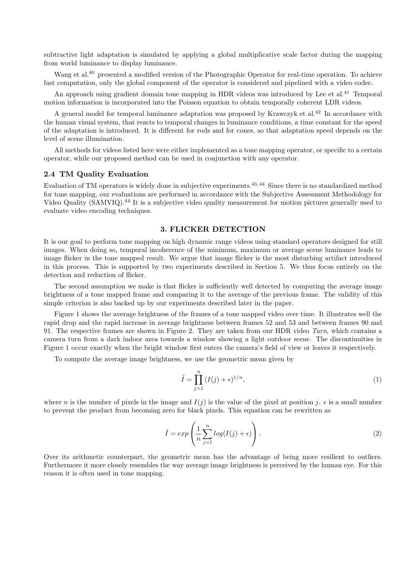subtractive light adaptation is simulated by applying a global multiplicative scale factor during the mapping from world luminance to display luminance.

Wang et al.<sup>40</sup> presented a modified version of the Photographic Operator for real-time operation. To achieve fast computation, only the global component of the operator is considered and pipelined with a video codec.

An approach using gradient domain tone mapping in HDR videos was introduced by Lee et al.<sup>41</sup> Temporal motion information is incorporated into the Poisson equation to obtain temporally coherent LDR videos.

A general model for temporal luminance adaptation was proposed by Krawczyk et al.<sup>42</sup> In accordance with the human visual system, that reacts to temporal changes in luminance conditions, a time constant for the speed of the adaptation is introduced. It is different for rods and for cones, so that adaptation speed depends on the level of scene illumination.

All methods for videos listed here were either implemented as a tone mapping operator, or specific to a certain operator, while our proposed method can be used in conjunction with any operator.

## **2.4 TM Quality Evaluation**

Evaluation of TM operators is widely done in subjective experiments.<sup>43, 44</sup> Since there is no standardized method for tone mapping, our evaluations are performed in accordance with the Subjective Assessment Methodology for Video Quality (SAMVIQ).<sup>44</sup> It is a subjective video quality measurement for motion pictures generally used to evaluate video encoding techniques.

## **3. FLICKER DETECTION**

It is our goal to perform tone mapping on high dynamic range videos using standard operators designed for still images. When doing so, temporal incoherence of the minimum, maximum or average scene luminance leads to image flicker in the tone mapped result. We argue that image flicker is the most disturbing artifact introduced in this process. This is supported by two experiments described in Section 5. We thus focus entirely on the detection and reduction of flicker.

The second assumption we make is that flicker is sufficiently well detected by computing the average image brightness of a tone mapped frame and comparing it to the average of the previous frame. The validity of this simple criterion is also backed up by our experiments described later in the paper.

Figure 1 shows the average brightness of the frames of a tone mapped video over time. It illustrates well the rapid drop and the rapid increase in average brightness between frames 52 and 53 and between frames 90 and 91. The respective frames are shown in Figure 2. They are taken from our HDR video *Turn*, which contains a camera turn from a dark indoor area towards a window showing a light outdoor scene. The discontinuities in Figure 1 occur exactly when the bright window first enters the camera's field of view or leaves it respectively.

To compute the average image brightness, we use the geometric mean given by

$$
\tilde{I} = \prod_{j=1}^{n} (I(j) + \epsilon)^{1/n},\tag{1}
$$

where *n* is the number of pixels in the image and  $I(j)$  is the value of the pixel at position *j*.  $\epsilon$  is a small number<br>to prevent the product from becoming zero for black pixels. This equation can be rewritten as to prevent the product from becoming zero for black pixels. This equation can be rewritten as

$$
\tilde{I} = exp\left(\frac{1}{n}\sum_{j=1}^{n}log(I(j) + \epsilon)\right).
$$
\n(2)

Over its arithmetic counterpart, the geometric mean has the advantage of being more resilient to outliers. Furthermore it more closely resembles the way average image brightness is perceived by the human eye. For this reason it is often used in tone mapping.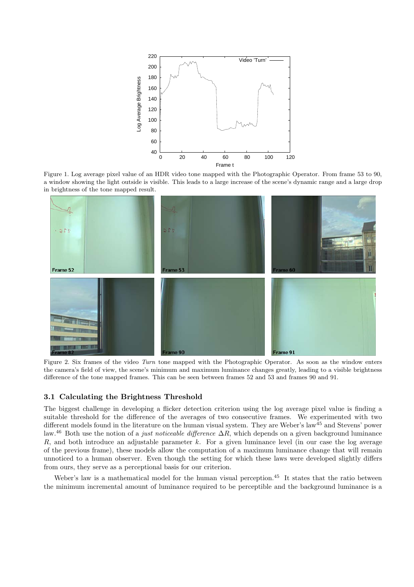

Figure 1. Log average pixel value of an HDR video tone mapped with the Photographic Operator. From frame 53 to 90, a window showing the light outside is visible. This leads to a large increase of the scene's dynamic range and a large drop in brightness of the tone mapped result.



Figure 2. Six frames of the video *Turn* tone mapped with the Photographic Operator. As soon as the window enters the camera's field of view, the scene's minimum and maximum luminance changes greatly, leading to a visible brightness difference of the tone mapped frames. This can be seen between frames 52 and 53 and frames 90 and 91.

# **3.1 Calculating the Brightness Threshold**

The biggest challenge in developing a flicker detection criterion using the log average pixel value is finding a suitable threshold for the difference of the averages of two consecutive frames. We experimented with two different models found in the literature on the human visual system. They are Weber's law<sup>45</sup> and Stevens' power law.<sup>46</sup> Both use the notion of a *just noticeable difference* <sup>Δ</sup>R, which depends on a given background luminance R, and both introduce an adjustable parameter k. For a given luminance level (in our case the log average of the previous frame), these models allow the computation of a maximum luminance change that will remain unnoticed to a human observer. Even though the setting for which these laws were developed slightly differs from ours, they serve as a perceptional basis for our criterion.

Weber's law is a mathematical model for the human visual perception.<sup>45</sup> It states that the ratio between the minimum incremental amount of luminance required to be perceptible and the background luminance is a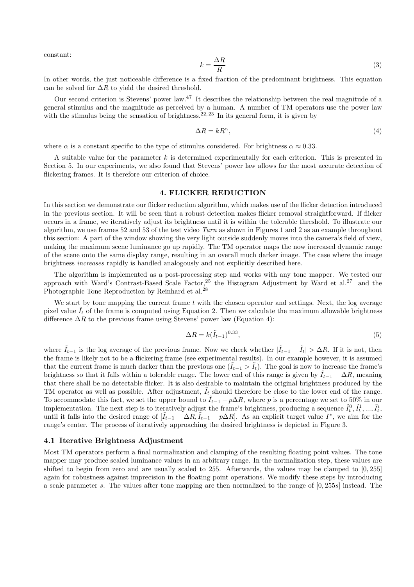constant:

$$
k = \frac{\Delta R}{R}
$$
 (3)  
In other words, the just noticeable difference is a fixed fraction of the predominant brightness. This equation

can be solved for  $\Delta R$  to yield the desired threshold.

Our second criterion is Stevens' power law.<sup>47</sup> It describes the relationship between the real magnitude of a general stimulus and the magnitude as perceived by a human. A number of TM operators use the power law with the stimulus being the sensation of brightness.  $2^{2,23}$  In its general form, it is given by

$$
\Delta R = kR^{\alpha},\tag{4}
$$

where  $\alpha$  is a constant specific to the type of stimulus considered. For brightness  $\alpha \approx 0.33$ .

A suitable value for the parameter k is determined experimentally for each criterion. This is presented in Section 5. In our experiments, we also found that Stevens' power law allows for the most accurate detection of flickering frames. It is therefore our criterion of choice.

#### **4. FLICKER REDUCTION**

In this section we demonstrate our flicker reduction algorithm, which makes use of the flicker detection introduced in the previous section. It will be seen that a robust detection makes flicker removal straightforward. If flicker occurs in a frame, we iteratively adjust its brightness until it is within the tolerable threshold. To illustrate our algorithm, we use frames 52 and 53 of the test video *Turn* as shown in Figures 1 and 2 as an example throughout this section: A part of the window showing the very light outside suddenly moves into the camera's field of view, making the maximum scene luminance go up rapidly. The TM operator maps the now increased dynamic range of the scene onto the same display range, resulting in an overall much darker image. The case where the image brightness *increases* rapidly is handled analogously and not explicitly described here.

The algorithm is implemented as a post-processing step and works with any tone mapper. We tested our approach with Ward's Contrast-Based Scale Factor,<sup>25</sup> the Histogram Adjustment by Ward et al.<sup>27</sup> and the Photographic Tone Reproduction by Reinhard et al.<sup>28</sup>

We start by tone mapping the current frame  $t$  with the chosen operator and settings. Next, the log average pixel value  $I_t$  of the frame is computed using Equation 2. Then we calculate the maximum allowable brightness difference  $\Delta R$  to the previous frame using Stevens' power law (Equation 4):

$$
\Delta R = k(\tilde{I}_{t-1})^{0.33},\tag{5}
$$

where  $\tilde{I}_{t-1}$  is the log average of the previous frame. Now we check whether  $|\tilde{I}_{t-1} - \tilde{I}_t| > \Delta R$ . If it is not, then the frame is likely not to be a flickering frame (see experimental results). In our example however, it is assumed that the current frame is much darker than the previous one  $(\tilde{I}_{t-1} > \tilde{I}_t)$ . The goal is now to increase the frame's brightness so that it falls within a tolerable range. The lower end of this range is given by  $I_{t-1} - \Delta R$ , meaning that there shall be no detectable flicker. It is also desirable to maintain the original brightness produced by the TM operator as well as possible. After adjustment,  $I_t$  should therefore be close to the lower end of the range. To accommodate this fact, we set the upper bound to  $\tilde{I}_{t-1} - p\Delta R$ , where p is a percentage we set to 50% in our implementation. The next step is to iteratively adjust the frame's brightness, producing a sequence  $\tilde{I}_l^0$ ,  $\tilde{I}_l^1$ , ...,  $\tilde{I}_l^i$ , ...,  $\tilde{I}_l^i$ , ...,  $\tilde{I}_l^i$ , ...,  $\tilde{I}_l^i$  and  $\tilde{I}_l^i$  are  $\tilde$ until it falls into the desired range of  $[\tilde{I}_{t-1} - \Delta R, \tilde{I}_{t-1} - p\Delta R]$ . As an explicit target value  $I^*$ , we aim for the range's center. The process of iteratively approaching the desired brightness is depicted in Figure 3.

## **4.1 Iterative Brightness Adjustment**

Most TM operators perform a final normalization and clamping of the resulting floating point values. The tone mapper may produce scaled luminance values in an arbitrary range. In the normalization step, these values are shifted to begin from zero and are usually scaled to 255. Afterwards, the values may be clamped to [0, 255] again for robustness against imprecision in the floating point operations. We modify these steps by introducing a scale parameter s. The values after tone mapping are then normalized to the range of [0, <sup>255</sup>s] instead. The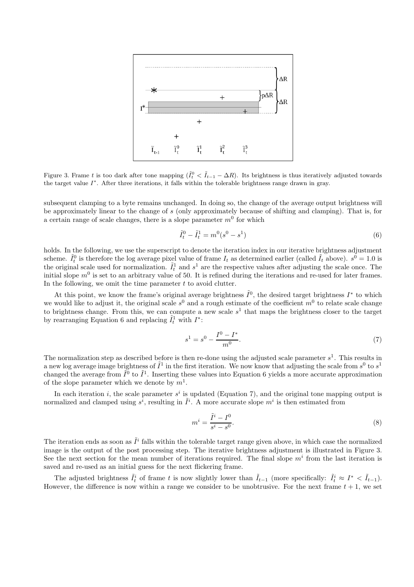

Figure 3. Frame *t* is too dark after tone mapping  $(\tilde{I}_t^0 < \tilde{I}_{t-1} - \Delta R)$ . Its brightness is thus iteratively adjusted towards the target value *I*∗. After three iterations, it falls within the tolerable brightness range drawn in gray.

subsequent clamping to a byte remains unchanged. In doing so, the change of the average output brightness will be approximately linear to the change of s (only approximately because of shifting and clamping). That is, for a certain range of scale changes, there is a slope parameter  $m<sup>0</sup>$  for which

$$
\tilde{I}_t^0 - \tilde{I}_t^1 = m^0(s^0 - s^1)
$$
\n(6)

holds. In the following, we use the superscript to denote the iteration index in our iterative brightness adjustment scheme.  $\tilde{I}_t^0$  is therefore the log average pixel value of frame  $I_t$  as determined earlier (called  $\tilde{I}_t$  above).  $s^0 = 1.0$  is<br>the original scale used for normalization.  $\tilde{I}^1$  and  $s^1$  are the respective v the original scale used for normalization.  $\tilde{I}_t^1$  and  $s^1$  are the respective values after adjusting the scale once. The initial slope  $m^0$  is set to an arbitrary value of 50. It is refined during the iterations an initial slope  $m<sup>0</sup>$  is set to an arbitrary value of 50. It is refined during the iterations and re-used for later frames. In the following, we omit the time parameter  $t$  to avoid clutter.

At this point, we know the frame's original average brightness  $\tilde{I}^0$ , the desired target brightness  $I^*$  to which we would like to adjust it, the original scale  $s^0$  and a rough estimate of the coefficient  $m^0$  to relate scale change to brightness change. From this, we can compute a new scale  $s<sup>1</sup>$  that maps the brightness closer to the target by rearranging Equation 6 and replacing  $\tilde{I}_t^1$  with  $I^*$ :

$$
s^1 = s^0 - \frac{I^0 - I^*}{m^0}.\tag{7}
$$

The normalization step as described before is then re-done using the adjusted scale parameter  $s^1$ . This results in a new log average image brightness of  $\tilde{I}^1$  in the first iteration. We now know that adjusting the scale from  $s^0$  to  $s^1$ changed the average from  $\tilde{I}^0$  to  $\tilde{I}^1$ . Inserting these values into Equation 6 yields a more accurate approximation of the slope parameter which we denote by  $m^1$ .

In each iteration i, the scale parameter  $s^i$  is updated (Equation 7), and the original tone mapping output is normalized and clamped using  $s^{\hat{i}}$ , resulting in  $\tilde{I}^i$ . A more accurate slope  $m^i$  is then estimated from

$$
m^i = \frac{\tilde{I}^i - I^0}{s^i - s^0}.\tag{8}
$$

The iteration ends as soon as  $\tilde{I}^i$  falls within the tolerable target range given above, in which case the normalized image is the output of the post processing step. The iterative brightness adjustment is illustrated in Figure 3. See the next section for the mean number of iterations required. The final slope  $m<sup>i</sup>$  from the last iteration is saved and re-used as an initial guess for the next flickering frame.

The adjusted brightness  $\tilde{I}_t^i$  of frame t is now slightly lower than  $\tilde{I}_{t-1}$  (more specifically:  $\tilde{I}_t^i \approx I^* < \tilde{I}_{t-1}$ ).<br>We set the difference is now within a range we consider to be unobtrusive. For the n However, the difference is now within a range we consider to be unobtrusive. For the next frame  $t + 1$ , we set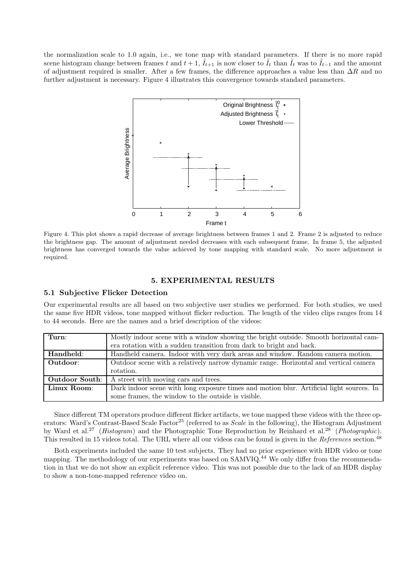the normalization scale to 1.0 again, i.e., we tone map with standard parameters. If there is no more rapid scene histogram change between frames t and  $t + 1$ ,  $\tilde{I}_{t+1}$  is now closer to  $\tilde{I}_t$  than  $\tilde{I}_t$  was to  $\tilde{I}_{t-1}$  and the amount of adjustment required is smaller. After a few frames, the difference approaches a value less than  $\Delta R$  and no further adjustment is necessary. Figure 4 illustrates this convergence towards standard parameters.



Figure 4. This plot shows a rapid decrease of average brightness between frames 1 and 2. Frame 2 is adjusted to reduce the brightness gap. The amount of adjustment needed decreases with each subsequent frame. In frame 5, the adjusted brightness has converged towards the value achieved by tone mapping with standard scale. No more adjustment is required.

# **5. EXPERIMENTAL RESULTS**

# **5.1 Subjective Flicker Detection**

Our experimental results are all based on two subjective user studies we performed. For both studies, we used the same five HDR videos, tone mapped without flicker reduction. The length of the video clips ranges from 14 to 44 seconds. Here are the names and a brief description of the videos:

| Turn:          | Mostly indoor scene with a window showing the bright outside. Smooth horizontal cam-     |
|----------------|------------------------------------------------------------------------------------------|
|                | era rotation with a sudden transition from dark to bright and back.                      |
| Handheld:      | Handheld camera. Indoor with very dark areas and window. Random camera motion.           |
| Outdoor:       | Outdoor scene with a relatively narrow dynamic range. Horizontal and vertical camera     |
|                | rotation.                                                                                |
| Outdoor South: | A street with moving cars and trees.                                                     |
| Linux Room:    | Dark indoor scene with long exposure times and motion blur. Artificial light sources. In |
|                | some frames, the window to the outside is visible.                                       |

Since different TM operators produce different flicker artifacts, we tone mapped these videos with the three operators: Ward's Contrast-Based Scale Factor<sup>25</sup> (referred to as *Scale* in the following), the Histogram Adjustment by Ward et al.<sup>27</sup> (*Histogram*) and the Photographic Tone Reproduction by Reinhard et al.<sup>28</sup> (*Photographic*). This resulted in 15 videos total. The URL where all our videos can be found is given in the *References* section.<sup>48</sup>

Both experiments included the same 10 test subjects. They had no prior experience with HDR video or tone mapping. The methodology of our experiments was based on SAMVIQ.<sup>44</sup> We only differ from the recommendation in that we do not show an explicit reference video. This was not possible due to the lack of an HDR display to show a non-tone-mapped reference video on.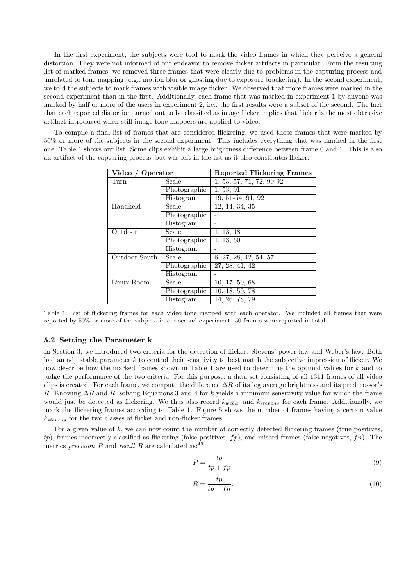In the first experiment, the subjects were told to mark the video frames in which they perceive a general distortion. They were not informed of our endeavor to remove flicker artifacts in particular. From the resulting list of marked frames, we removed three frames that were clearly due to problems in the capturing process and unrelated to tone mapping (e.g., motion blur or ghosting due to exposure bracketing). In the second experiment, we told the subjects to mark frames with visible image flicker. We observed that more frames were marked in the second experiment than in the first. Additionally, each frame that was marked in experiment 1 by anyone was marked by half or more of the users in experiment 2, i.e., the first results were a subset of the second. The fact that each reported distortion turned out to be classified as image flicker implies that flicker is the most obtrusive artifact introduced when still image tone mappers are applied to video.

To compile a final list of frames that are considered flickering, we used those frames that were marked by 50% or more of the subjects in the second experiment. This includes everything that was marked in the first one. Table 1 shows our list. Some clips exhibit a large brightness difference between frame 0 and 1. This is also an artifact of the capturing process, but was left in the list as it also constitutes flicker.

| Video / Operator       |              | <b>Reported Flickering Frames</b> |  |  |
|------------------------|--------------|-----------------------------------|--|--|
| Turn                   | Scale        | 1, 53, 57, 71, 72, 90-92          |  |  |
|                        | Photographic | 1, 53, 91                         |  |  |
|                        | Histogram    | $19, 51-54, 91, 92$               |  |  |
| Handheld<br>Scale      |              | 12, 14, 34, 35                    |  |  |
|                        | Photographic |                                   |  |  |
|                        | Histogram    |                                   |  |  |
| Outdoor                | Scale        | 1, 13, 18                         |  |  |
|                        | Photographic | $\overline{1,} 13, 60$            |  |  |
|                        | Histogram    |                                   |  |  |
| Outdoor South<br>Scale |              | 6, 27, 28, 42, 54, 57             |  |  |
|                        | Photographic | 27, 28, 41, 42                    |  |  |
|                        | Histogram    |                                   |  |  |
| Linux Room             | Scale        | 10, 17, 50, 68                    |  |  |
|                        | Photographic | 10, 18, 50, 78                    |  |  |
|                        | Histogram    | 14, 26, 78, 79                    |  |  |

Table 1. List of flickering frames for each video tone mapped with each operator. We included all frames that were reported by 50% or more of the subjects in our second experiment. 50 frames were reported in total.

## **5.2 Setting the Parameter k**

In Section 3, we introduced two criteria for the detection of flicker: Stevens' power law and Weber's law. Both had an adjustable parameter k to control their sensitivity to best match the subjective impression of flicker. We now describe how the marked frames shown in Table 1 are used to determine the optimal values for k and to judge the performance of the two criteria. For this purpose, a data set consisting of all 1311 frames of all video clips is created. For each frame, we compute the difference  $\Delta R$  of its log average brightness and its predecessor's R. Knowing  $\Delta R$  and R, solving Equations 3 and 4 for k yields a minimum sensitivity value for which the frame would just be detected as flickering. We thus also record  $k_{weber}$  and  $k_{stevens}$  for each frame. Additionally, we mark the flickering frames according to Table 1. Figure 5 shows the number of frames having a certain value  $k_{stevens}$  for the two classes of flicker and non-flicker frames.

For a given value of  $k$ , we can now count the number of correctly detected flickering frames (true positives,  $tp$ ), frames incorrectly classified as flickering (false positives,  $fp$ ), and missed frames (false negatives,  $fn$ ). The metrics *precision* P and *recall* R are calculated as:<sup>49</sup>

$$
P = \frac{tp}{tp + fp},\tag{9}
$$

$$
R = \frac{tp}{tp + fn}.\tag{10}
$$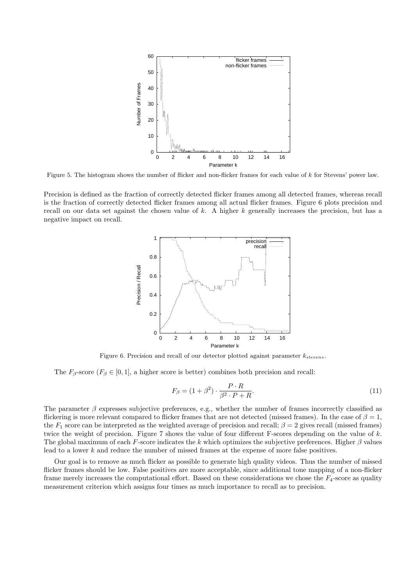

Figure 5. The histogram shows the number of flicker and non-flicker frames for each value of *k* for Stevens' power law.

Precision is defined as the fraction of correctly detected flicker frames among all detected frames, whereas recall is the fraction of correctly detected flicker frames among all actual flicker frames. Figure 6 plots precision and recall on our data set against the chosen value of k. A higher k generally increases the precision, but has a negative impact on recall.



Figure 6. Precision and recall of our detector plotted against parameter *kstevens*.

The  $F_\beta$ -score  $(F_\beta \in [0,1],$  a higher score is better) combines both precision and recall:

$$
F_{\beta} = (1 + \beta^2) \cdot \frac{P \cdot R}{\beta^2 \cdot P + R}.
$$
\n
$$
(11)
$$

The parameter  $\beta$  expresses subjective preferences, e.g., whether the number of frames incorrectly classified as flickering is more relevant compared to flicker frames that are not detected (missed frames). In the case of  $\beta = 1$ , the  $F_1$  score can be interpreted as the weighted average of precision and recall;  $\beta = 2$  gives recall (missed frames) twice the weight of precision. Figure 7 shows the value of four different F-scores depending on the value of  $k$ . The global maximum of each F-score indicates the k which optimizes the subjective preferences. Higher  $\beta$  values lead to a lower k and reduce the number of missed frames at the expense of more false positives.

Our goal is to remove as much flicker as possible to generate high quality videos. Thus the number of missed flicker frames should be low. False positives are more acceptable, since additional tone mapping of a non-flicker frame merely increases the computational effort. Based on these considerations we chose the  $F_4$ -score as quality measurement criterion which assigns four times as much importance to recall as to precision.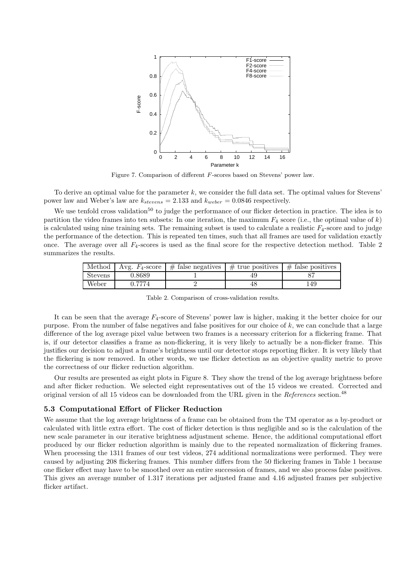

Figure 7. Comparison of different *F*-scores based on Stevens' power law.

To derive an optimal value for the parameter  $k$ , we consider the full data set. The optimal values for Stevens' power law and Weber's law are  $k_{stevens} = 2.133$  and  $k_{weber} = 0.0846$  respectively.

We use tenfold cross validation<sup>50</sup> to judge the performance of our flicker detection in practice. The idea is to partition the video frames into ten subsets: In one iteration, the maximum  $F_4$  score (i.e., the optimal value of k) is calculated using nine training sets. The remaining subset is used to calculate a realistic  $F_4$ -score and to judge the performance of the detection. This is repeated ten times, such that all frames are used for validation exactly once. The average over all  $F_4$ -scores is used as the final score for the respective detection method. Table 2 summarizes the results.

| Method         | Avg. $F_4$ -score | $\#$ false negatives | $\#$ true positives | $\#$ false positives |
|----------------|-------------------|----------------------|---------------------|----------------------|
| <b>Stevens</b> | 0.8689            |                      |                     |                      |
| Weber          | 0.7774            |                      | 48                  | 149                  |

Table 2. Comparison of cross-validation results.

It can be seen that the average F<sup>4</sup>-score of Stevens' power law is higher, making it the better choice for our purpose. From the number of false negatives and false positives for our choice of  $k$ , we can conclude that a large difference of the log average pixel value between two frames is a necessary criterion for a flickering frame. That is, if our detector classifies a frame as non-flickering, it is very likely to actually be a non-flicker frame. This justifies our decision to adjust a frame's brightness until our detector stops reporting flicker. It is very likely that the flickering is now removed. In other words, we use flicker detection as an objective quality metric to prove the correctness of our flicker reduction algorithm.

Our results are presented as eight plots in Figure 8. They show the trend of the log average brightness before and after flicker reduction. We selected eight representatives out of the 15 videos we created. Corrected and original version of all 15 videos can be downloaded from the URL given in the *References* section.<sup>48</sup>

## **5.3 Computational Effort of Flicker Reduction**

We assume that the log average brightness of a frame can be obtained from the TM operator as a by-product or calculated with little extra effort. The cost of flicker detection is thus negligible and so is the calculation of the new scale parameter in our iterative brightness adjustment scheme. Hence, the additional computational effort produced by our flicker reduction algorithm is mainly due to the repeated normalization of flickering frames. When processing the 1311 frames of our test videos, 274 additional normalizations were performed. They were caused by adjusting 208 flickering frames. This number differs from the 50 flickering frames in Table 1 because one flicker effect may have to be smoothed over an entire succession of frames, and we also process false positives. This gives an average number of 1.317 iterations per adjusted frame and 4.16 adjusted frames per subjective flicker artifact.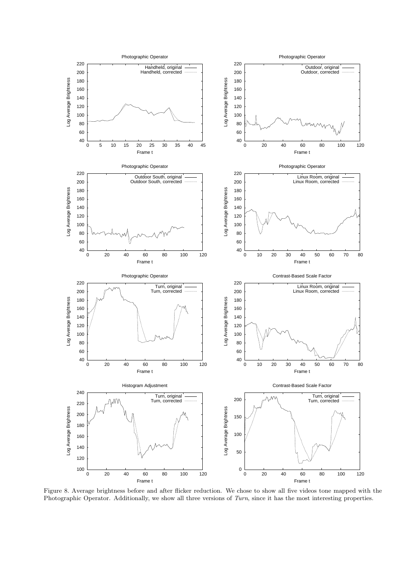

Figure 8. Average brightness before and after flicker reduction. We chose to show all five videos tone mapped with the Photographic Operator. Additionally, we show all three versions of *Turn*, since it has the most interesting properties.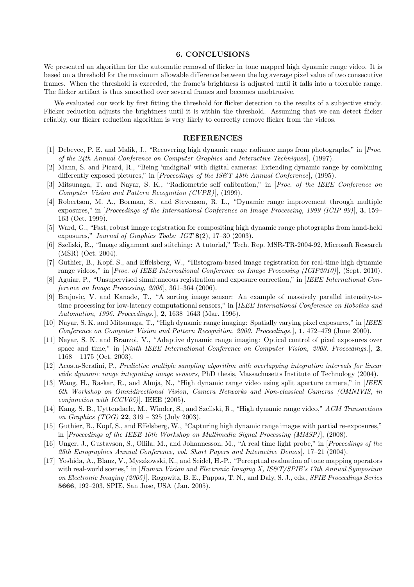#### **6. CONCLUSIONS**

We presented an algorithm for the automatic removal of flicker in tone mapped high dynamic range video. It is based on a threshold for the maximum allowable difference between the log average pixel value of two consecutive frames. When the threshold is exceeded, the frame's brightness is adjusted until it falls into a tolerable range. The flicker artifact is thus smoothed over several frames and becomes unobtrusive.

We evaluated our work by first fitting the threshold for flicker detection to the results of a subjective study. Flicker reduction adjusts the brightness until it is within the threshold. Assuming that we can detect flicker reliably, our flicker reduction algorithm is very likely to correctly remove flicker from the videos.

#### **REFERENCES**

- [1] Debevec, P. E. and Malik, J., "Recovering high dynamic range radiance maps from photographs," in [*Proc. of the 24th Annual Conference on Computer Graphics and Interactive Techniques*], (1997).
- [2] Mann, S. and Picard, R., "Being 'undigital' with digital cameras: Extending dynamic range by combining differently exposed pictures," in [*Proceedings of the IS&T 48th Annual Conference*], (1995).
- [3] Mitsunaga, T. and Nayar, S. K., "Radiometric self calibration," in [*Proc. of the IEEE Conference on Computer Vision and Pattern Recognition (CVPR)*], (1999).
- [4] Robertson, M. A., Borman, S., and Stevenson, R. L., "Dynamic range improvement through multiple exposures," in [*Proceedings of the International Conference on Image Processing, 1999 (ICIP 99)*], **3**, 159– 163 (Oct. 1999).
- [5] Ward, G., "Fast, robust image registration for compositing high dynamic range photographs from hand-held exposures," *Journal of Graphics Tools: JGT* **8**(2), 17–30 (2003).
- [6] Szeliski, R., "Image alignment and stitching: A tutorial," Tech. Rep. MSR-TR-2004-92, Microsoft Research (MSR) (Oct. 2004).
- [7] Guthier, B., Kopf, S., and Effelsberg, W., "Histogram-based image registration for real-time high dynamic range videos," in [*Proc. of IEEE International Conference on Image Processing (ICIP2010)*], (Sept. 2010).
- [8] Aguiar, P., "Unsupervised simultaneous registration and exposure correction," in [*IEEE International Conference on Image Processing, 2006*], 361–364 (2006).
- [9] Brajovic, V. and Kanade, T., "A sorting image sensor: An example of massively parallel intensity-totime processing for low-latency computational sensors," in [*IEEE International Conference on Robotics and Automation, 1996. Proceedings.*], **2**, 1638–1643 (Mar. 1996).
- [10] Nayar, S. K. and Mitsunaga, T., "High dynamic range imaging: Spatially varying pixel exposures," in [*IEEE Conference on Computer Vision and Pattern Recognition, 2000. Proceedings.*], **1**, 472–479 (June 2000).
- [11] Nayar, S. K. and Branzoi, V., "Adaptive dynamic range imaging: Optical control of pixel exposures over space and time," in [*Ninth IEEE International Conference on Computer Vision, 2003. Proceedings.*], **2**,  $1168 - 1175$  (Oct. 2003).
- [12] Acosta-Serafini, P., *Predictive multiple sampling algorithm with overlapping integration intervals for linear wide dynamic range integrating image sensors*, PhD thesis, Massachusetts Institute of Technology (2004).
- [13] Wang, H., Raskar, R., and Ahuja, N., "High dynamic range video using split aperture camera," in [*IEEE 6th Workshop on Omnidirectional Vision, Camera Networks and Non-classical Cameras (OMNIVIS, in conjunction with ICCV05)*], IEEE (2005).
- [14] Kang, S. B., Uyttendaele, M., Winder, S., and Szeliski, R., "High dynamic range video," *ACM Transactions on Graphics (TOG)* **22**, 319 – 325 (July 2003).
- [15] Guthier, B., Kopf, S., and Effelsberg, W., "Capturing high dynamic range images with partial re-exposures," in [*Proceedings of the IEEE 10th Workshop on Multimedia Signal Processing (MMSP)*], (2008).
- [16] Unger, J., Gustavson, S., Ollila, M., and Johannesson, M., "A real time light probe," in [*Proceedings of the 25th Eurographics Annual Conference, vol. Short Papers and Interactive Demos*], 17–21 (2004).
- [17] Yoshida, A., Blanz, V., Myszkowski, K., and Seidel, H.-P., "Perceptual evaluation of tone mapping operators with real-world scenes," in [*Human Vision and Electronic Imaging X, IS&T/SPIE's 17th Annual Symposium on Electronic Imaging (2005)*], Rogowitz, B. E., Pappas, T. N., and Daly, S. J., eds., *SPIE Proceedings Series* **5666**, 192–203, SPIE, San Jose, USA (Jan. 2005).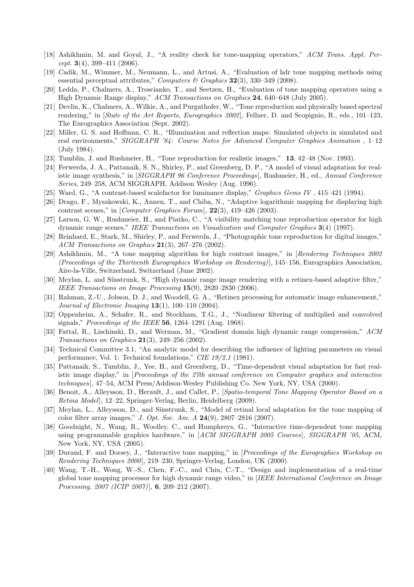- [18] Ashikhmin, M. and Goyal, J., "A reality check for tone-mapping operators," *ACM Trans. Appl. Percept.* **3**(4), 399–411 (2006).
- [19] Cadik, M., Wimmer, M., Neumann, L., and Artusi, A., "Evaluation of hdr tone mapping methods using essential perceptual attributes," *Computers & Graphics* **32**(3), 330–349 (2008).
- [20] Ledda, P., Chalmers, A., Troscianko, T., and Seetzen, H., "Evaluation of tone mapping operators using a High Dynamic Range display," *ACM Transactions on Graphics* **24**, 640–648 (July 2005).
- [21] Devlin, K., Chalmers, A., Wilkie, A., and Purgathofer, W., "Tone reproduction and physically based spectral rendering," in [*State of the Art Reports, Eurographics 2002*], Fellner, D. and Scopignio, R., eds., 101–123, The Eurographics Association (Sept. 2002).
- [22] Miller, G. S. and Hoffman, C. R., "Illumination and reflection maps: Simulated objects in simulated and real environments," *SIGGRAPH '84: Course Notes for Advanced Computer Graphics Animation* , 1–12 (July 1984).
- [23] Tumblin, J. and Rushmeier, H., "Tone reproduction for realistic images," **13**, 42–48 (Nov. 1993).
- [24] Ferwerda, J. A., Pattanaik, S. N., Shirley, P., and Greenberg, D. P., "A model of visual adaptation for realistic image synthesis," in [*SIGGRAPH 96 Conference Proceedings*], Rushmeier, H., ed., *Annual Conference Series*, 249–258, ACM SIGGRAPH, Addison Wesley (Aug. 1996).
- [25] Ward, G., "A contrast-based scalefactor for luminance display," *Graphics Gems IV* , 415–421 (1994).
- [26] Drago, F., Myszkowski, K., Annen, T., and Chiba, N., "Adaptive logarithmic mapping for displaying high contrast scenes," in [*Computer Graphics Forum*], **22**(3), 419–426 (2003).
- [27] Larson, G. W., Rushmeier, H., and Piatko, C., "A visibility matching tone reproduction operator for high dynamic range scenes," *IEEE Transactions on Visualization and Computer Graphics* **3**(4) (1997).
- [28] Reinhard, E., Stark, M., Shirley, P., and Ferwerda, J., "Photographic tone reproduction for digital images," *ACM Transactions on Graphics* **21**(3), 267–276 (2002).
- [29] Ashikhmin, M., "A tone mapping algorithm for high contrast images," in [*Rendering Techniques 2002 (Proceedings of the Thirteenth Eurographics Workshop on Rendering)*], 145–156, Eurographics Association, Aire-la-Ville, Switzerland, Switzerland (June 2002).
- [30] Meylan, L. and Süsstrunk, S., "High dynamic range image rendering with a retinex-based adaptive filter," *IEEE Transactions on Image Processing* **15**(9), 2820–2830 (2006).
- [31] Rahman, Z.-U., Jobson, D. J., and Woodell, G. A., "Retinex processing for automatic image enhancement," *Journal of Electronic Imaging* **13**(1), 100–110 (2004).
- [32] Oppenheim, A., Schafer, R., and Stockham, T.G., J., "Nonlinear filtering of multiplied and convolved signals," *Proceedings of the IEEE* **56**, 1264–1291 (Aug. 1968).
- [33] Fattal, R., Lischinski, D., and Werman, M., "Gradient domain high dynamic range compression," *ACM Transactions on Graphics* **21**(3), 249–256 (2002).
- [34] Technical Committee 3.1, "An analytic model for describing the influence of lighting parameters on visual performance, Vol. 1: Technical foundations," *CIE 19/2.1* (1981).
- [35] Pattanaik, S., Tumblin, J., Yee, H., and Greenberg, D., "Time-dependent visual adaptation for fast realistic image display," in [*Proceedings of the 27th annual conference on Computer graphics and interactive techniques*], 47–54, ACM Press/Addison-Wesley Publishing Co. New York, NY, USA (2000).
- [36] Benoit, A., Alleysson, D., Herault, J., and Callet, P., [*Spatio-temporal Tone Mapping Operator Based on a Retina Model*], 12–22, Springer-Verlag, Berlin, Heidelberg (2009).
- [37] Meylan, L., Alleysson, D., and Süsstrunk, S., "Model of retinal local adaptation for the tone mapping of color filter array images," *J. Opt. Soc. Am. A* **24**(9), 2807–2816 (2007).
- [38] Goodnight, N., Wang, R., Woolley, C., and Humphreys, G., "Interactive time-dependent tone mapping using programmable graphics hardware," in [*ACM SIGGRAPH 2005 Courses*], *SIGGRAPH '05*, ACM, New York, NY, USA (2005).
- [39] Durand, F. and Dorsey, J., "Interactive tone mapping," in [*Proceedings of the Eurographics Workshop on Rendering Techniques 2000*], 219–230, Springer-Verlag, London, UK (2000).
- [40] Wang, T.-H., Wong, W.-S., Chen, F.-C., and Chiu, C.-T., "Design and implementation of a real-time global tone mapping processor for high dynamic range video," in [*IEEE International Conference on Image Processing, 2007 (ICIP 2007)*], **6**, 209–212 (2007).